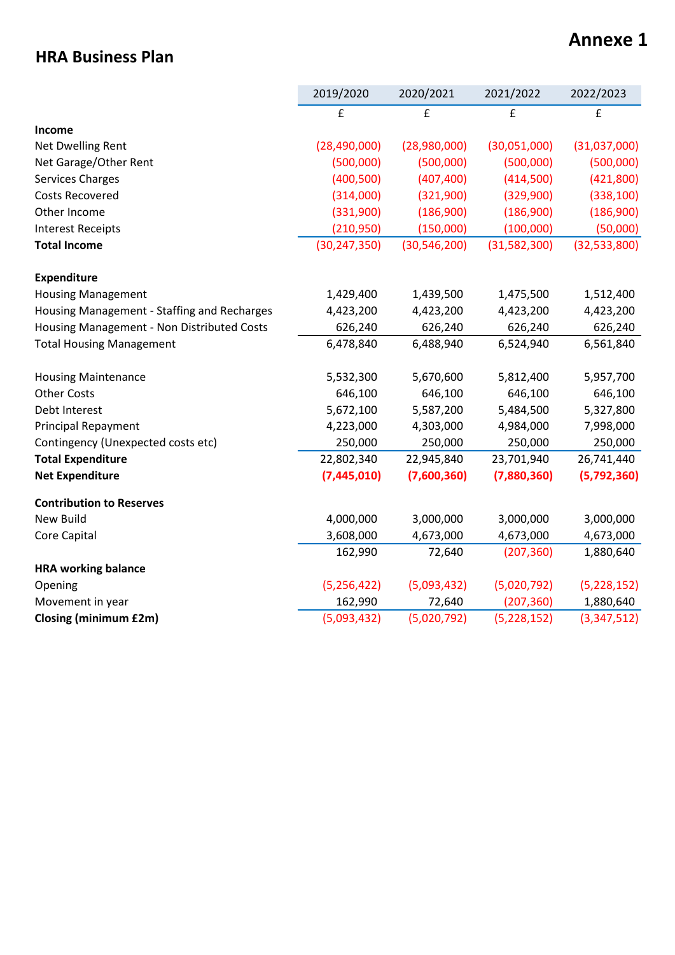### **HRA Business Plan**

### **Annexe 1**

|                                             | 2019/2020      | 2020/2021      | 2021/2022    | 2022/2023      |
|---------------------------------------------|----------------|----------------|--------------|----------------|
|                                             | £              | £              | £            | £              |
| Income                                      |                |                |              |                |
| Net Dwelling Rent                           | (28, 490, 000) | (28,980,000)   | (30,051,000) | (31,037,000)   |
| Net Garage/Other Rent                       | (500,000)      | (500,000)      | (500,000)    | (500,000)      |
| <b>Services Charges</b>                     | (400, 500)     | (407, 400)     | (414,500)    | (421,800)      |
| <b>Costs Recovered</b>                      | (314,000)      | (321,900)      | (329,900)    | (338, 100)     |
| Other Income                                | (331,900)      | (186,900)      | (186,900)    | (186,900)      |
| <b>Interest Receipts</b>                    | (210,950)      | (150,000)      | (100,000)    | (50,000)       |
| <b>Total Income</b>                         | (30, 247, 350) | (30, 546, 200) | (31,582,300) | (32, 533, 800) |
| <b>Expenditure</b>                          |                |                |              |                |
| <b>Housing Management</b>                   | 1,429,400      | 1,439,500      | 1,475,500    | 1,512,400      |
| Housing Management - Staffing and Recharges | 4,423,200      | 4,423,200      | 4,423,200    | 4,423,200      |
| Housing Management - Non Distributed Costs  | 626,240        | 626,240        | 626,240      | 626,240        |
| <b>Total Housing Management</b>             | 6,478,840      | 6,488,940      | 6,524,940    | 6,561,840      |
| <b>Housing Maintenance</b>                  | 5,532,300      | 5,670,600      | 5,812,400    | 5,957,700      |
| <b>Other Costs</b>                          | 646,100        | 646,100        | 646,100      | 646,100        |
| Debt Interest                               | 5,672,100      | 5,587,200      | 5,484,500    | 5,327,800      |
| <b>Principal Repayment</b>                  | 4,223,000      | 4,303,000      | 4,984,000    | 7,998,000      |
| Contingency (Unexpected costs etc)          | 250,000        | 250,000        | 250,000      | 250,000        |
| <b>Total Expenditure</b>                    | 22,802,340     | 22,945,840     | 23,701,940   | 26,741,440     |
| <b>Net Expenditure</b>                      | (7,445,010)    | (7,600,360)    | (7,880,360)  | (5,792,360)    |
| <b>Contribution to Reserves</b>             |                |                |              |                |
| <b>New Build</b>                            | 4,000,000      | 3,000,000      | 3,000,000    | 3,000,000      |
| Core Capital                                | 3,608,000      | 4,673,000      | 4,673,000    | 4,673,000      |
|                                             | 162,990        | 72,640         | (207, 360)   | 1,880,640      |
| <b>HRA working balance</b>                  |                |                |              |                |
| Opening                                     | (5, 256, 422)  | (5,093,432)    | (5,020,792)  | (5,228,152)    |
| Movement in year                            | 162,990        | 72,640         | (207, 360)   | 1,880,640      |
| <b>Closing (minimum £2m)</b>                | (5,093,432)    | (5,020,792)    | (5,228,152)  | (3,347,512)    |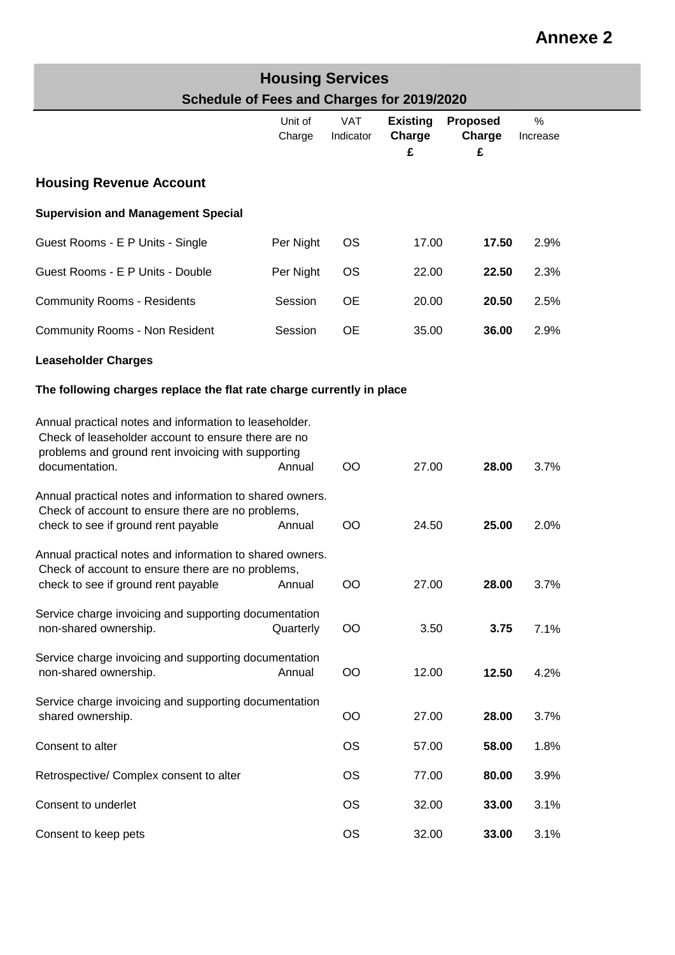| <b>Housing Services</b>                    |
|--------------------------------------------|
| Schedule of Fees and Charges for 2019/2020 |

|                                                                                                                                                                                       | Unit of<br>Charge | <b>VAT</b><br>Indicator | <b>Existing</b><br>Charge<br>£ | Proposed<br>Charge<br>£ | %<br>Increase |
|---------------------------------------------------------------------------------------------------------------------------------------------------------------------------------------|-------------------|-------------------------|--------------------------------|-------------------------|---------------|
| <b>Housing Revenue Account</b>                                                                                                                                                        |                   |                         |                                |                         |               |
| <b>Supervision and Management Special</b>                                                                                                                                             |                   |                         |                                |                         |               |
| Guest Rooms - E P Units - Single                                                                                                                                                      | Per Night         | <b>OS</b>               | 17.00                          | 17.50                   | 2.9%          |
| Guest Rooms - E P Units - Double                                                                                                                                                      | Per Night         | <b>OS</b>               | 22.00                          | 22.50                   | 2.3%          |
| <b>Community Rooms - Residents</b>                                                                                                                                                    | Session           | <b>OE</b>               | 20.00                          | 20.50                   | 2.5%          |
| <b>Community Rooms - Non Resident</b>                                                                                                                                                 | Session           | <b>OE</b>               | 35.00                          | 36.00                   | 2.9%          |
| <b>Leaseholder Charges</b>                                                                                                                                                            |                   |                         |                                |                         |               |
| The following charges replace the flat rate charge currently in place                                                                                                                 |                   |                         |                                |                         |               |
| Annual practical notes and information to leaseholder.<br>Check of leaseholder account to ensure there are no<br>problems and ground rent invoicing with supporting<br>documentation. | Annual            | OO                      | 27.00                          | 28.00                   | 3.7%          |
| Annual practical notes and information to shared owners.<br>Check of account to ensure there are no problems,<br>check to see if ground rent payable                                  | Annual            | OO                      | 24.50                          | 25.00                   | 2.0%          |
| Annual practical notes and information to shared owners.<br>Check of account to ensure there are no problems,<br>check to see if ground rent payable                                  | Annual            | OO                      | 27.00                          | 28.00                   | 3.7%          |
| Service charge invoicing and supporting documentation<br>non-shared ownership.                                                                                                        | Quarterly         | <b>OO</b>               | 3.50                           | 3.75                    | 7.1%          |
| Service charge invoicing and supporting documentation<br>non-shared ownership.                                                                                                        | Annual            | <b>OO</b>               | 12.00                          | 12.50                   | 4.2%          |
| Service charge invoicing and supporting documentation<br>shared ownership.                                                                                                            |                   | <b>OO</b>               | 27.00                          | 28.00                   | 3.7%          |
| Consent to alter                                                                                                                                                                      |                   | <b>OS</b>               | 57.00                          | 58.00                   | 1.8%          |
| Retrospective/ Complex consent to alter                                                                                                                                               |                   | <b>OS</b>               | 77.00                          | 80.00                   | 3.9%          |
| Consent to underlet                                                                                                                                                                   |                   | <b>OS</b>               | 32.00                          | 33.00                   | 3.1%          |
| Consent to keep pets                                                                                                                                                                  |                   | <b>OS</b>               | 32.00                          | 33.00                   | 3.1%          |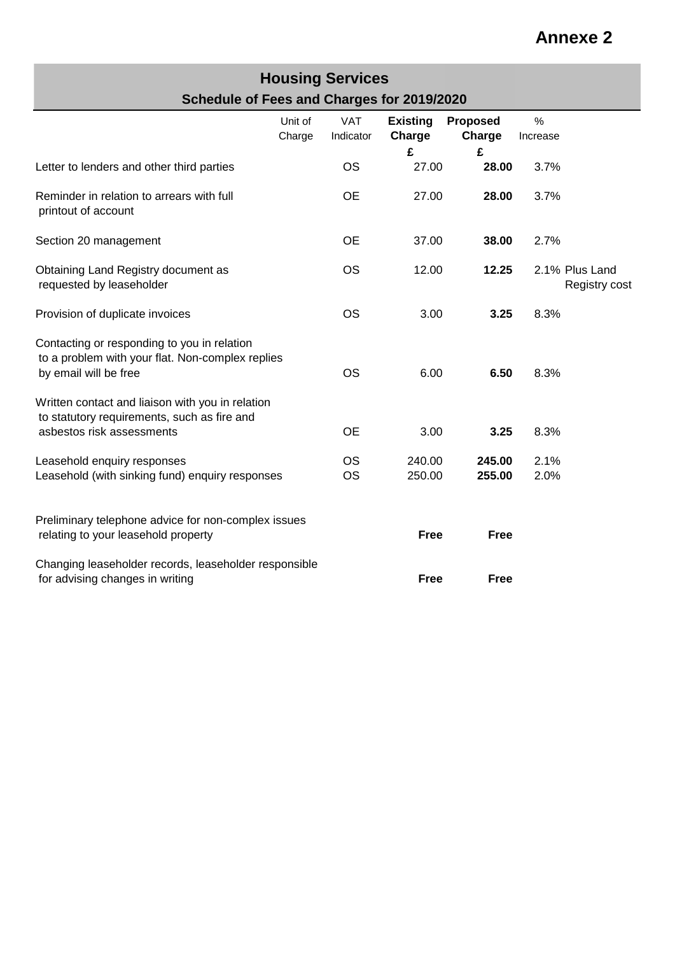#### **Housing Services Schedule of Fees and Charges for 2019/2020**

|                                                                                                                              | Unit of<br>Charge | <b>VAT</b><br>Indicator | <b>Existing</b><br>Charge<br>£ | Proposed<br>Charge<br>£ | $\%$<br>Increase |                                 |
|------------------------------------------------------------------------------------------------------------------------------|-------------------|-------------------------|--------------------------------|-------------------------|------------------|---------------------------------|
| Letter to lenders and other third parties                                                                                    |                   | <b>OS</b>               | 27.00                          | 28.00                   | 3.7%             |                                 |
| Reminder in relation to arrears with full<br>printout of account                                                             |                   | <b>OE</b>               | 27.00                          | 28.00                   | 3.7%             |                                 |
| Section 20 management                                                                                                        |                   | <b>OE</b>               | 37.00                          | 38.00                   | 2.7%             |                                 |
| Obtaining Land Registry document as<br>requested by leaseholder                                                              |                   | <b>OS</b>               | 12.00                          | 12.25                   |                  | 2.1% Plus Land<br>Registry cost |
| Provision of duplicate invoices                                                                                              |                   | <b>OS</b>               | 3.00                           | 3.25                    | 8.3%             |                                 |
| Contacting or responding to you in relation<br>to a problem with your flat. Non-complex replies<br>by email will be free     |                   | <b>OS</b>               | 6.00                           | 6.50                    | 8.3%             |                                 |
| Written contact and liaison with you in relation<br>to statutory requirements, such as fire and<br>asbestos risk assessments |                   | <b>OE</b>               | 3.00                           | 3.25                    | 8.3%             |                                 |
| Leasehold enquiry responses<br>Leasehold (with sinking fund) enquiry responses                                               |                   | <b>OS</b><br><b>OS</b>  | 240.00<br>250.00               | 245.00<br>255.00        | 2.1%<br>2.0%     |                                 |
| Preliminary telephone advice for non-complex issues<br>relating to your leasehold property                                   |                   |                         | <b>Free</b>                    | <b>Free</b>             |                  |                                 |
| Changing leaseholder records, leaseholder responsible<br>for advising changes in writing                                     |                   |                         | <b>Free</b>                    | <b>Free</b>             |                  |                                 |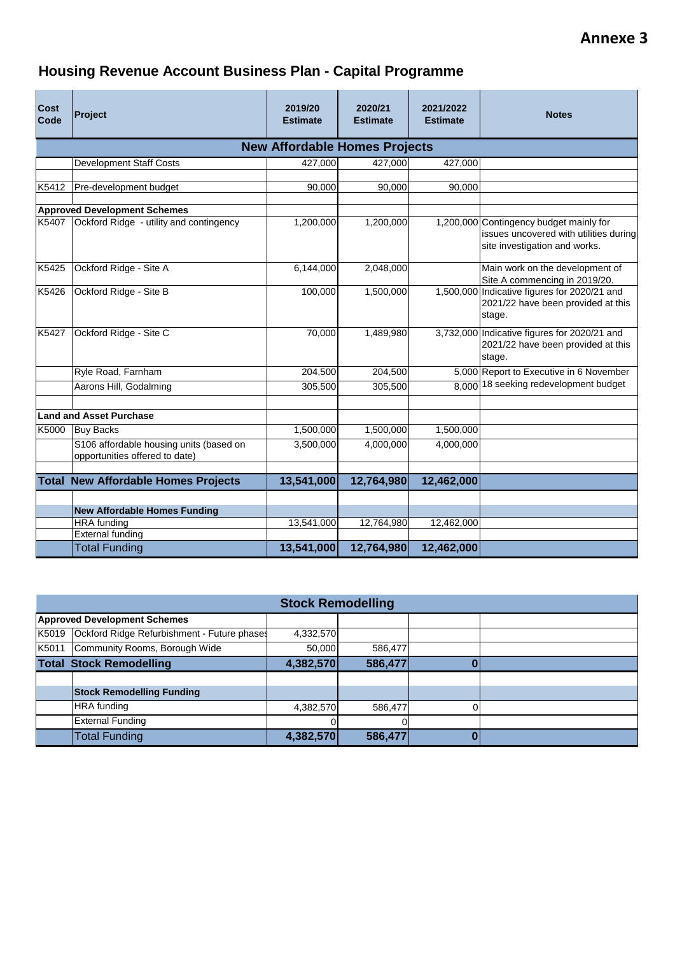### **Housing Revenue Account Business Plan - Capital Programme**

| <b>Cost</b><br>Code                  | Project                                                                   | 2019/20<br><b>Estimate</b> | 2020/21<br><b>Estimate</b> | 2021/2022<br><b>Estimate</b> | <b>Notes</b>                                                                                                       |  |  |  |  |  |
|--------------------------------------|---------------------------------------------------------------------------|----------------------------|----------------------------|------------------------------|--------------------------------------------------------------------------------------------------------------------|--|--|--|--|--|
| <b>New Affordable Homes Projects</b> |                                                                           |                            |                            |                              |                                                                                                                    |  |  |  |  |  |
|                                      | Development Staff Costs                                                   | 427,000                    | 427,000                    | 427,000                      |                                                                                                                    |  |  |  |  |  |
| K5412                                | Pre-development budget                                                    | 90,000                     | 90,000                     | 90,000                       |                                                                                                                    |  |  |  |  |  |
|                                      | <b>Approved Development Schemes</b>                                       |                            |                            |                              |                                                                                                                    |  |  |  |  |  |
| K5407                                | Ockford Ridge - utility and contingency                                   | 1,200,000                  | 1,200,000                  |                              | 1,200,000 Contingency budget mainly for<br>issues uncovered with utilities during<br>site investigation and works. |  |  |  |  |  |
| K5425                                | Ockford Ridge - Site A                                                    | 6,144,000                  | 2,048,000                  |                              | Main work on the development of<br>Site A commencing in 2019/20.                                                   |  |  |  |  |  |
| K5426                                | Ockford Ridge - Site B                                                    | 100,000                    | 1,500,000                  |                              | 1,500,000 Indicative figures for 2020/21 and<br>2021/22 have been provided at this<br>stage.                       |  |  |  |  |  |
| K5427                                | Ockford Ridge - Site C                                                    | 70,000                     | 1,489,980                  |                              | 3,732,000 Indicative figures for 2020/21 and<br>2021/22 have been provided at this<br>stage.                       |  |  |  |  |  |
|                                      | Ryle Road, Farnham                                                        | 204,500                    | 204,500                    |                              | 5,000 Report to Executive in 6 November                                                                            |  |  |  |  |  |
|                                      | Aarons Hill, Godalming                                                    | 305,500                    | 305,500                    | 8.000                        | 18 seeking redevelopment budget                                                                                    |  |  |  |  |  |
|                                      |                                                                           |                            |                            |                              |                                                                                                                    |  |  |  |  |  |
|                                      | <b>Land and Asset Purchase</b>                                            |                            |                            |                              |                                                                                                                    |  |  |  |  |  |
| K5000                                | <b>Buy Backs</b>                                                          | 1,500,000                  | 1,500,000                  | 1,500,000                    |                                                                                                                    |  |  |  |  |  |
|                                      | S106 affordable housing units (based on<br>opportunities offered to date) | 3,500,000                  | 4,000,000                  | 4,000,000                    |                                                                                                                    |  |  |  |  |  |
|                                      | <b>Total New Affordable Homes Projects</b>                                | 13,541,000                 | 12,764,980                 | 12,462,000                   |                                                                                                                    |  |  |  |  |  |
|                                      |                                                                           |                            |                            |                              |                                                                                                                    |  |  |  |  |  |
|                                      | <b>New Affordable Homes Funding</b>                                       |                            |                            |                              |                                                                                                                    |  |  |  |  |  |
|                                      | <b>HRA</b> funding                                                        | 13,541,000                 | 12,764,980                 | 12,462,000                   |                                                                                                                    |  |  |  |  |  |
|                                      | <b>External funding</b>                                                   |                            |                            |                              |                                                                                                                    |  |  |  |  |  |
|                                      | <b>Total Funding</b>                                                      | 13,541,000                 | 12,764,980                 | 12,462,000                   |                                                                                                                    |  |  |  |  |  |

|                                | <b>Stock Remodelling</b>                    |           |         |   |  |  |  |  |  |  |
|--------------------------------|---------------------------------------------|-----------|---------|---|--|--|--|--|--|--|
|                                | <b>Approved Development Schemes</b>         |           |         |   |  |  |  |  |  |  |
| K5019                          | Ockford Ridge Refurbishment - Future phases | 4,332,570 |         |   |  |  |  |  |  |  |
| K5011                          | Community Rooms, Borough Wide               | 50,000    | 586,477 |   |  |  |  |  |  |  |
| <b>Total Stock Remodelling</b> |                                             | 4,382,570 | 586,477 |   |  |  |  |  |  |  |
|                                |                                             |           |         |   |  |  |  |  |  |  |
|                                | <b>Stock Remodelling Funding</b>            |           |         |   |  |  |  |  |  |  |
|                                | <b>HRA</b> funding                          | 4,382,570 | 586,477 | O |  |  |  |  |  |  |
|                                | <b>External Funding</b>                     |           |         |   |  |  |  |  |  |  |
|                                | <b>Total Funding</b>                        | 4,382,570 | 586,477 |   |  |  |  |  |  |  |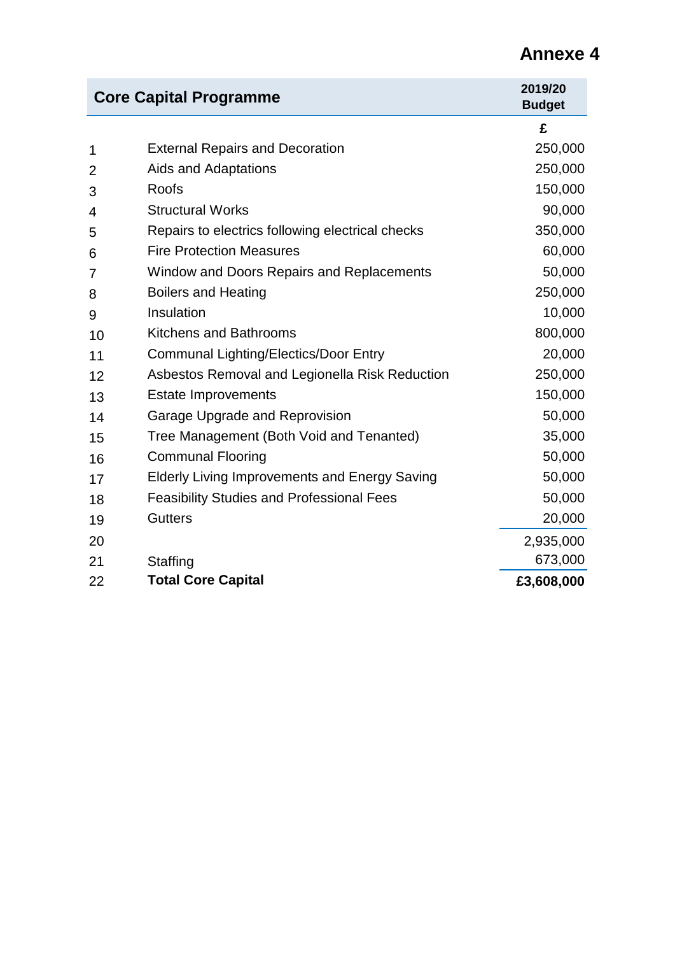|                | <b>Core Capital Programme</b>                        | 2019/20<br><b>Budget</b> |
|----------------|------------------------------------------------------|--------------------------|
|                |                                                      | £                        |
| 1              | <b>External Repairs and Decoration</b>               | 250,000                  |
| $\overline{2}$ | Aids and Adaptations                                 | 250,000                  |
| 3              | Roofs                                                | 150,000                  |
| 4              | <b>Structural Works</b>                              | 90,000                   |
| 5              | Repairs to electrics following electrical checks     | 350,000                  |
| 6              | <b>Fire Protection Measures</b>                      | 60,000                   |
| 7              | Window and Doors Repairs and Replacements            | 50,000                   |
| 8              | <b>Boilers and Heating</b>                           | 250,000                  |
| 9              | Insulation                                           | 10,000                   |
| 10             | <b>Kitchens and Bathrooms</b>                        | 800,000                  |
| 11             | <b>Communal Lighting/Electics/Door Entry</b>         | 20,000                   |
| 12             | Asbestos Removal and Legionella Risk Reduction       | 250,000                  |
| 13             | <b>Estate Improvements</b>                           | 150,000                  |
| 14             | Garage Upgrade and Reprovision                       | 50,000                   |
| 15             | Tree Management (Both Void and Tenanted)             | 35,000                   |
| 16             | <b>Communal Flooring</b>                             | 50,000                   |
| 17             | <b>Elderly Living Improvements and Energy Saving</b> | 50,000                   |
| 18             | <b>Feasibility Studies and Professional Fees</b>     | 50,000                   |
| 19             | <b>Gutters</b>                                       | 20,000                   |
| 20             |                                                      | 2,935,000                |
| 21             | Staffing                                             | 673,000                  |
| 22             | <b>Total Core Capital</b>                            | £3,608,000               |